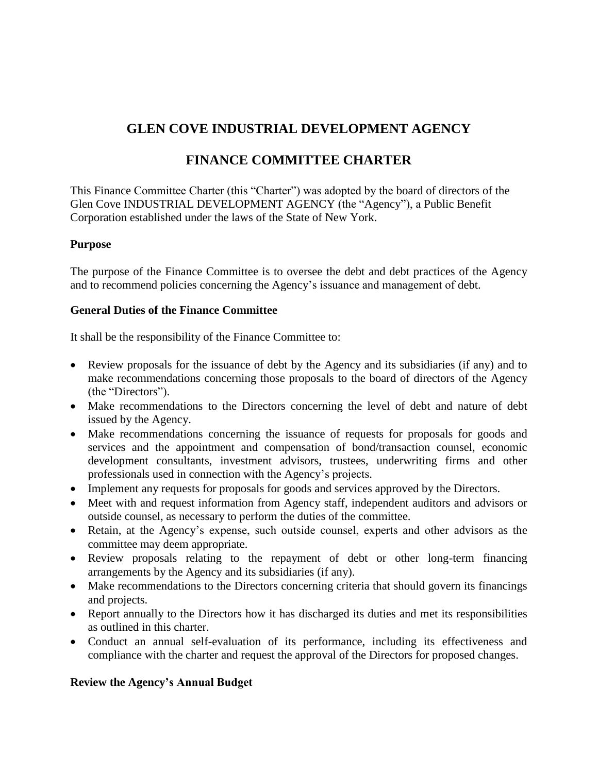# **GLEN COVE INDUSTRIAL DEVELOPMENT AGENCY**

## **FINANCE COMMITTEE CHARTER**

This Finance Committee Charter (this "Charter") was adopted by the board of directors of the Glen Cove INDUSTRIAL DEVELOPMENT AGENCY (the "Agency"), a Public Benefit Corporation established under the laws of the State of New York.

#### **Purpose**

The purpose of the Finance Committee is to oversee the debt and debt practices of the Agency and to recommend policies concerning the Agency's issuance and management of debt.

#### **General Duties of the Finance Committee**

It shall be the responsibility of the Finance Committee to:

- Review proposals for the issuance of debt by the Agency and its subsidiaries (if any) and to make recommendations concerning those proposals to the board of directors of the Agency (the "Directors").
- Make recommendations to the Directors concerning the level of debt and nature of debt issued by the Agency.
- Make recommendations concerning the issuance of requests for proposals for goods and services and the appointment and compensation of bond/transaction counsel, economic development consultants, investment advisors, trustees, underwriting firms and other professionals used in connection with the Agency's projects.
- Implement any requests for proposals for goods and services approved by the Directors.
- Meet with and request information from Agency staff, independent auditors and advisors or outside counsel, as necessary to perform the duties of the committee.
- Retain, at the Agency's expense, such outside counsel, experts and other advisors as the committee may deem appropriate.
- Review proposals relating to the repayment of debt or other long-term financing arrangements by the Agency and its subsidiaries (if any).
- Make recommendations to the Directors concerning criteria that should govern its financings and projects.
- Report annually to the Directors how it has discharged its duties and met its responsibilities as outlined in this charter.
- Conduct an annual self-evaluation of its performance, including its effectiveness and compliance with the charter and request the approval of the Directors for proposed changes.

#### **Review the Agency's Annual Budget**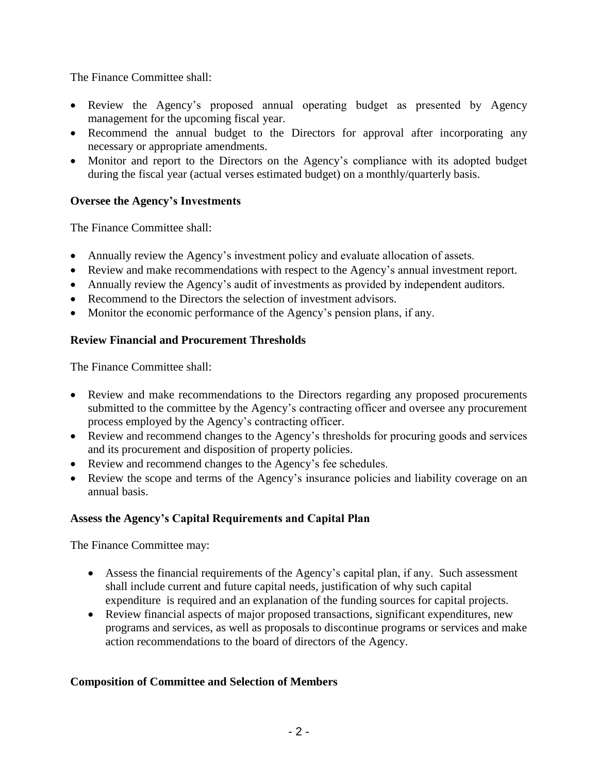The Finance Committee shall:

- Review the Agency's proposed annual operating budget as presented by Agency management for the upcoming fiscal year.
- Recommend the annual budget to the Directors for approval after incorporating any necessary or appropriate amendments.
- Monitor and report to the Directors on the Agency's compliance with its adopted budget during the fiscal year (actual verses estimated budget) on a monthly/quarterly basis.

## **Oversee the Agency's Investments**

The Finance Committee shall:

- Annually review the Agency's investment policy and evaluate allocation of assets.
- Review and make recommendations with respect to the Agency's annual investment report.
- Annually review the Agency's audit of investments as provided by independent auditors.
- Recommend to the Directors the selection of investment advisors.
- Monitor the economic performance of the Agency's pension plans, if any.

### **Review Financial and Procurement Thresholds**

The Finance Committee shall:

- Review and make recommendations to the Directors regarding any proposed procurements submitted to the committee by the Agency's contracting officer and oversee any procurement process employed by the Agency's contracting officer.
- Review and recommend changes to the Agency's thresholds for procuring goods and services and its procurement and disposition of property policies.
- Review and recommend changes to the Agency's fee schedules.
- Review the scope and terms of the Agency's insurance policies and liability coverage on an annual basis.

## **Assess the Agency's Capital Requirements and Capital Plan**

The Finance Committee may:

- Assess the financial requirements of the Agency's capital plan, if any. Such assessment shall include current and future capital needs, justification of why such capital expenditure is required and an explanation of the funding sources for capital projects.
- Review financial aspects of major proposed transactions, significant expenditures, new programs and services, as well as proposals to discontinue programs or services and make action recommendations to the board of directors of the Agency.

## **Composition of Committee and Selection of Members**